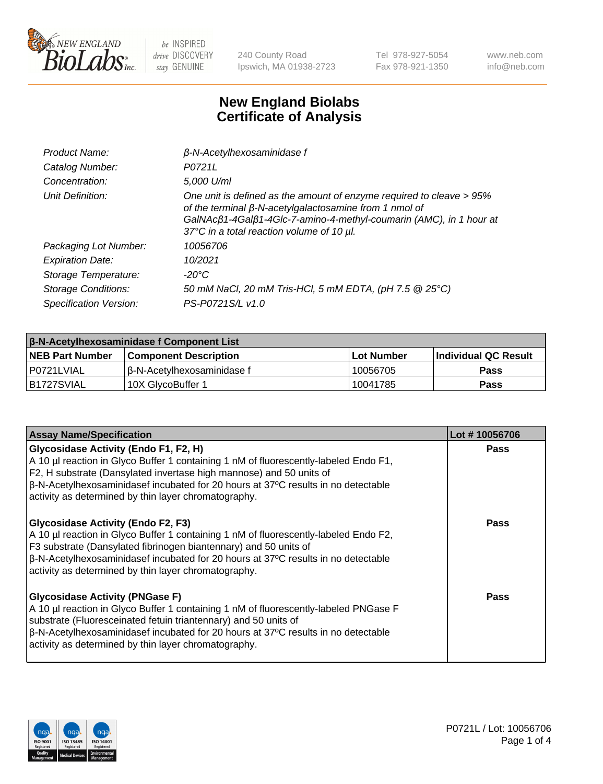

240 County Road Ipswich, MA 01938-2723 Tel 978-927-5054 Fax 978-921-1350 www.neb.com info@neb.com

## **New England Biolabs Certificate of Analysis**

| Product Name:              | $\beta$ -N-Acetylhexosaminidase f                                                                                                                                                                                                                        |
|----------------------------|----------------------------------------------------------------------------------------------------------------------------------------------------------------------------------------------------------------------------------------------------------|
| Catalog Number:            | P0721L                                                                                                                                                                                                                                                   |
| Concentration:             | 5,000 U/ml                                                                                                                                                                                                                                               |
| Unit Definition:           | One unit is defined as the amount of enzyme required to cleave > 95%<br>of the terminal $\beta$ -N-acetylgalactosamine from 1 nmol of<br>GalNAcß1-4Galß1-4Glc-7-amino-4-methyl-coumarin (AMC), in 1 hour at<br>37°C in a total reaction volume of 10 µl. |
| Packaging Lot Number:      | 10056706                                                                                                                                                                                                                                                 |
| <b>Expiration Date:</b>    | 10/2021                                                                                                                                                                                                                                                  |
| Storage Temperature:       | -20°C                                                                                                                                                                                                                                                    |
| <b>Storage Conditions:</b> | 50 mM NaCl, 20 mM Tris-HCl, 5 mM EDTA, (pH 7.5 @ 25°C)                                                                                                                                                                                                   |
| Specification Version:     | PS-P0721S/L v1.0                                                                                                                                                                                                                                         |

| <b>β-N-Acetylhexosaminidase f Component List</b> |                              |            |                             |  |  |
|--------------------------------------------------|------------------------------|------------|-----------------------------|--|--|
| <b>NEB Part Number</b>                           | <b>Component Description</b> | Lot Number | <b>Individual QC Result</b> |  |  |
| P0721LVIAL                                       | l β-N-Acetvlhexosaminidase f | 10056705   | Pass                        |  |  |
| IB1727SVIAL                                      | 10X GlvcoBuffer 1            | 10041785   | <b>Pass</b>                 |  |  |

| <b>Assay Name/Specification</b>                                                                                                                                                                                                                                                                                                                                 | Lot #10056706 |
|-----------------------------------------------------------------------------------------------------------------------------------------------------------------------------------------------------------------------------------------------------------------------------------------------------------------------------------------------------------------|---------------|
| <b>Glycosidase Activity (Endo F1, F2, H)</b><br>A 10 µl reaction in Glyco Buffer 1 containing 1 nM of fluorescently-labeled Endo F1,<br>F2, H substrate (Dansylated invertase high mannose) and 50 units of<br>$\beta$ -N-Acetylhexosaminidasef incubated for 20 hours at 37°C results in no detectable<br>activity as determined by thin layer chromatography. | <b>Pass</b>   |
| <b>Glycosidase Activity (Endo F2, F3)</b><br>A 10 µl reaction in Glyco Buffer 1 containing 1 nM of fluorescently-labeled Endo F2,<br>F3 substrate (Dansylated fibrinogen biantennary) and 50 units of<br> β-N-Acetylhexosaminidasef incubated for 20 hours at 37°C results in no detectable<br>activity as determined by thin layer chromatography.             | Pass          |
| <b>Glycosidase Activity (PNGase F)</b><br>A 10 µl reaction in Glyco Buffer 1 containing 1 nM of fluorescently-labeled PNGase F<br>substrate (Fluoresceinated fetuin triantennary) and 50 units of<br>$\beta$ -N-Acetylhexosaminidasef incubated for 20 hours at 37°C results in no detectable<br>activity as determined by thin layer chromatography.           | Pass          |

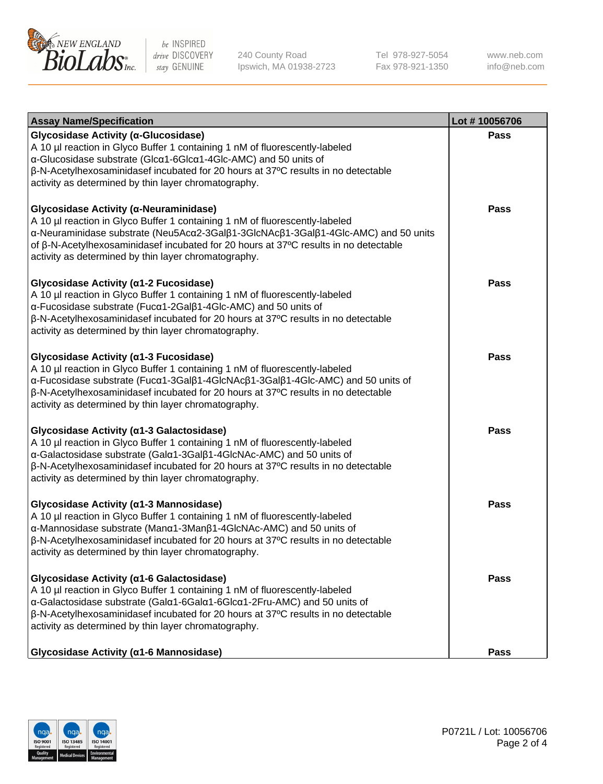

240 County Road Ipswich, MA 01938-2723 Tel 978-927-5054 Fax 978-921-1350 www.neb.com info@neb.com

| <b>Assay Name/Specification</b>                                                                                                                                                                                                                                                                                                                                              | Lot #10056706 |
|------------------------------------------------------------------------------------------------------------------------------------------------------------------------------------------------------------------------------------------------------------------------------------------------------------------------------------------------------------------------------|---------------|
| Glycosidase Activity (α-Glucosidase)<br>A 10 µl reaction in Glyco Buffer 1 containing 1 nM of fluorescently-labeled<br>$\alpha$ -Glucosidase substrate (Glc $\alpha$ 1-6Glc $\alpha$ 1-4Glc-AMC) and 50 units of<br>β-N-Acetylhexosaminidasef incubated for 20 hours at 37°C results in no detectable<br>activity as determined by thin layer chromatography.                | Pass          |
| Glycosidase Activity (α-Neuraminidase)<br>A 10 µl reaction in Glyco Buffer 1 containing 1 nM of fluorescently-labeled<br>α-Neuraminidase substrate (Neu5Acα2-3Galβ1-3GlcNAcβ1-3Galβ1-4Glc-AMC) and 50 units<br>of $\beta$ -N-Acetylhexosaminidasef incubated for 20 hours at 37 $\degree$ C results in no detectable<br>activity as determined by thin layer chromatography. | <b>Pass</b>   |
| Glycosidase Activity (α1-2 Fucosidase)<br>A 10 µl reaction in Glyco Buffer 1 containing 1 nM of fluorescently-labeled<br>α-Fucosidase substrate (Fucα1-2Galβ1-4Glc-AMC) and 50 units of<br>$\beta$ -N-Acetylhexosaminidasef incubated for 20 hours at 37 $\degree$ C results in no detectable<br>activity as determined by thin layer chromatography.                        | <b>Pass</b>   |
| Glycosidase Activity (a1-3 Fucosidase)<br>A 10 µl reaction in Glyco Buffer 1 containing 1 nM of fluorescently-labeled<br>α-Fucosidase substrate (Fucα1-3Galβ1-4GlcNAcβ1-3Galβ1-4Glc-AMC) and 50 units of<br>$\beta$ -N-Acetylhexosaminidasef incubated for 20 hours at 37 $\degree$ C results in no detectable<br>activity as determined by thin layer chromatography.       | Pass          |
| Glycosidase Activity (a1-3 Galactosidase)<br>A 10 µl reaction in Glyco Buffer 1 containing 1 nM of fluorescently-labeled<br>α-Galactosidase substrate (Galα1-3Galβ1-4GlcNAc-AMC) and 50 units of<br>$\beta$ -N-Acetylhexosaminidasef incubated for 20 hours at 37 $\degree$ C results in no detectable<br>activity as determined by thin layer chromatography.               | <b>Pass</b>   |
| Glycosidase Activity (α1-3 Mannosidase)<br>A 10 µl reaction in Glyco Buffer 1 containing 1 nM of fluorescently-labeled<br>α-Mannosidase substrate (Manα1-3Manβ1-4GlcNAc-AMC) and 50 units of<br>β-N-Acetylhexosaminidasef incubated for 20 hours at 37°C results in no detectable<br>activity as determined by thin layer chromatography.                                    | <b>Pass</b>   |
| Glycosidase Activity (α1-6 Galactosidase)<br>A 10 µl reaction in Glyco Buffer 1 containing 1 nM of fluorescently-labeled<br>α-Galactosidase substrate (Galα1-6Galα1-6Glcα1-2Fru-AMC) and 50 units of<br>$\beta$ -N-Acetylhexosaminidasef incubated for 20 hours at 37 $\degree$ C results in no detectable<br>activity as determined by thin layer chromatography.           | <b>Pass</b>   |
| Glycosidase Activity (a1-6 Mannosidase)                                                                                                                                                                                                                                                                                                                                      | <b>Pass</b>   |

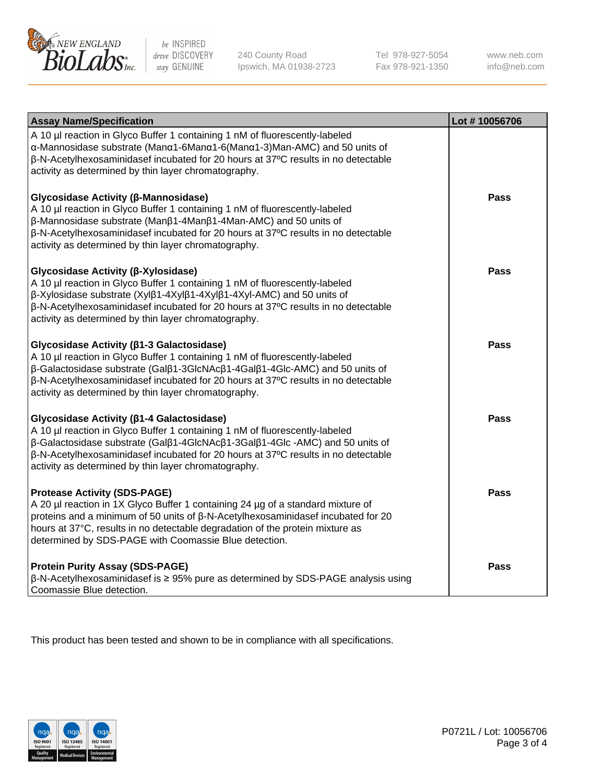

240 County Road Ipswich, MA 01938-2723 Tel 978-927-5054 Fax 978-921-1350 www.neb.com info@neb.com

| <b>Assay Name/Specification</b>                                                                                                                                                                                                                                                                                                                             | Lot #10056706 |
|-------------------------------------------------------------------------------------------------------------------------------------------------------------------------------------------------------------------------------------------------------------------------------------------------------------------------------------------------------------|---------------|
| A 10 µl reaction in Glyco Buffer 1 containing 1 nM of fluorescently-labeled<br>α-Mannosidase substrate (Manα1-6Manα1-6(Manα1-3)Man-AMC) and 50 units of<br>β-N-Acetylhexosaminidasef incubated for 20 hours at 37°C results in no detectable<br>activity as determined by thin layer chromatography.                                                        |               |
| Glycosidase Activity (β-Mannosidase)<br>A 10 µl reaction in Glyco Buffer 1 containing 1 nM of fluorescently-labeled<br>β-Mannosidase substrate (Manβ1-4Manβ1-4Man-AMC) and 50 units of<br>β-N-Acetylhexosaminidasef incubated for 20 hours at 37°C results in no detectable<br>activity as determined by thin layer chromatography.                         | <b>Pass</b>   |
| Glycosidase Activity (β-Xylosidase)<br>A 10 µl reaction in Glyco Buffer 1 containing 1 nM of fluorescently-labeled<br>β-Xylosidase substrate (Xylβ1-4Xylβ1-4Xylβ1-4Xyl-AMC) and 50 units of<br>β-N-Acetylhexosaminidasef incubated for 20 hours at 37°C results in no detectable<br>activity as determined by thin layer chromatography.                    | <b>Pass</b>   |
| Glycosidase Activity (β1-3 Galactosidase)<br>A 10 µl reaction in Glyco Buffer 1 containing 1 nM of fluorescently-labeled<br>β-Galactosidase substrate (Galβ1-3GlcNAcβ1-4Galβ1-4Glc-AMC) and 50 units of<br>β-N-Acetylhexosaminidasef incubated for 20 hours at 37°C results in no detectable<br>activity as determined by thin layer chromatography.        | <b>Pass</b>   |
| Glycosidase Activity (β1-4 Galactosidase)<br>A 10 µl reaction in Glyco Buffer 1 containing 1 nM of fluorescently-labeled<br>β-Galactosidase substrate (Galβ1-4GlcNAcβ1-3Galβ1-4Glc-AMC) and 50 units of<br>β-N-Acetylhexosaminidasef incubated for 20 hours at 37°C results in no detectable<br>activity as determined by thin layer chromatography.        | <b>Pass</b>   |
| <b>Protease Activity (SDS-PAGE)</b><br>A 20 µl reaction in 1X Glyco Buffer 1 containing 24 µg of a standard mixture of<br>proteins and a minimum of 50 units of $\beta$ -N-Acetylhexosaminidasef incubated for 20<br>hours at 37°C, results in no detectable degradation of the protein mixture as<br>determined by SDS-PAGE with Coomassie Blue detection. | Pass          |
| <b>Protein Purity Assay (SDS-PAGE)</b><br>$\beta$ -N-Acetylhexosaminidasef is $\geq$ 95% pure as determined by SDS-PAGE analysis using<br>Coomassie Blue detection.                                                                                                                                                                                         | <b>Pass</b>   |

This product has been tested and shown to be in compliance with all specifications.